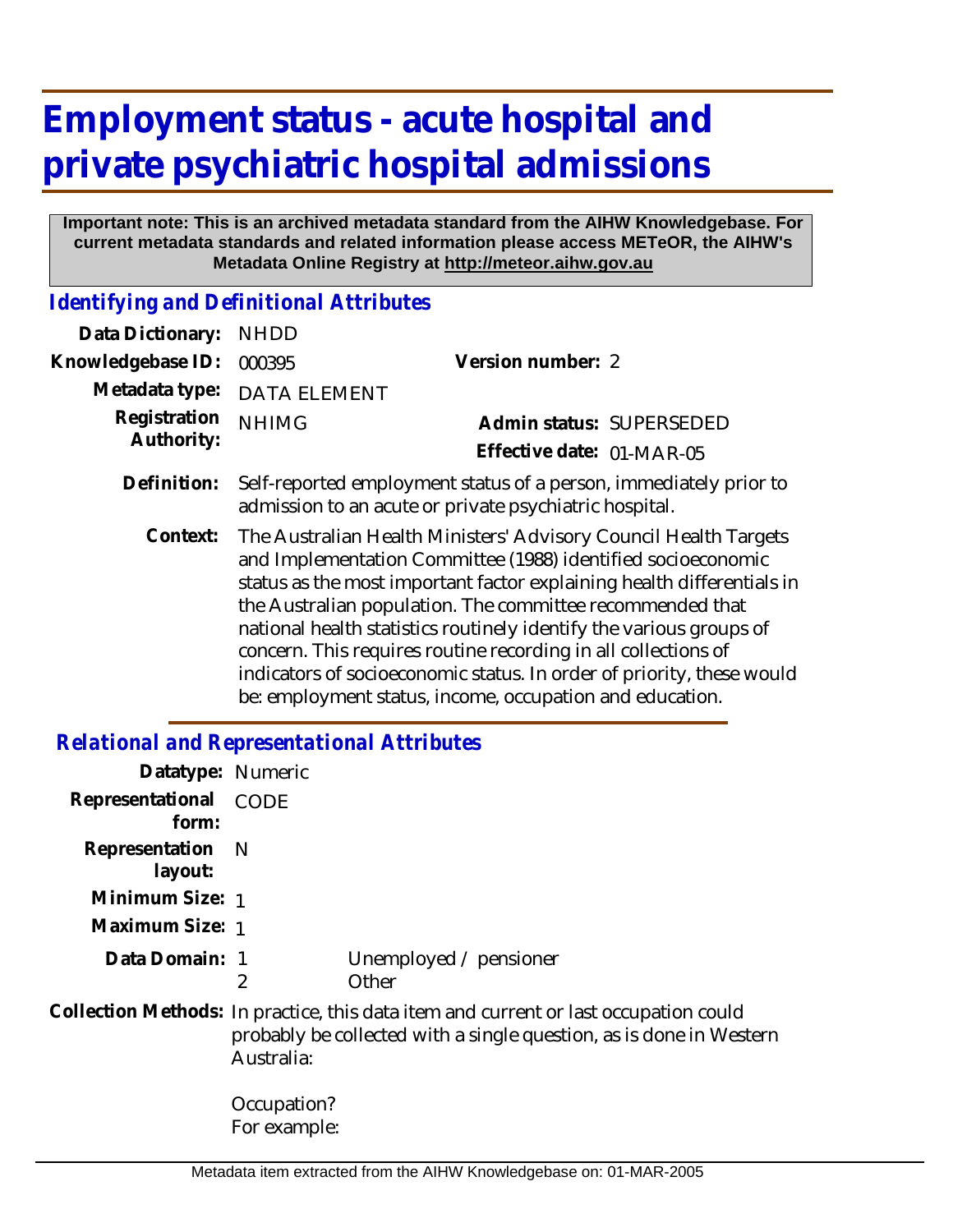## **Employment status - acute hospital and private psychiatric hospital admissions**

## **Important note: This is an archived metadata standard from the AIHW Knowledgebase. For current metadata standards and related information please access METeOR, the AIHW's Metadata Online Registry at http://meteor.aihw.gov.au**

*Identifying and Definitional Attributes*

| Data Dictionary:           | <b>NHDD</b>                                                                                                                                                                                                                                                                                                                                                                                                                                                                                                                                           |                           |  |
|----------------------------|-------------------------------------------------------------------------------------------------------------------------------------------------------------------------------------------------------------------------------------------------------------------------------------------------------------------------------------------------------------------------------------------------------------------------------------------------------------------------------------------------------------------------------------------------------|---------------------------|--|
| Knowledgebase ID:          | 000395                                                                                                                                                                                                                                                                                                                                                                                                                                                                                                                                                | Version number: 2         |  |
| Metadata type:             | <b>DATA ELEMENT</b>                                                                                                                                                                                                                                                                                                                                                                                                                                                                                                                                   |                           |  |
| Registration<br>Authority: | <b>NHIMG</b>                                                                                                                                                                                                                                                                                                                                                                                                                                                                                                                                          | Admin status: SUPERSEDED  |  |
|                            |                                                                                                                                                                                                                                                                                                                                                                                                                                                                                                                                                       | Effective date: 01-MAR-05 |  |
| Definition:                | Self-reported employment status of a person, immediately prior to<br>admission to an acute or private psychiatric hospital.                                                                                                                                                                                                                                                                                                                                                                                                                           |                           |  |
| Context:                   | The Australian Health Ministers' Advisory Council Health Targets<br>and Implementation Committee (1988) identified socioeconomic<br>status as the most important factor explaining health differentials in<br>the Australian population. The committee recommended that<br>national health statistics routinely identify the various groups of<br>concern. This requires routine recording in all collections of<br>indicators of socioeconomic status. In order of priority, these would<br>be: employment status, income, occupation and education. |                           |  |

## *Relational and Representational Attributes*

| Datatype: Numeric           |                                                                                                                                                                           |                                 |
|-----------------------------|---------------------------------------------------------------------------------------------------------------------------------------------------------------------------|---------------------------------|
| Representational<br>form:   | CODE                                                                                                                                                                      |                                 |
| Representation N<br>layout: |                                                                                                                                                                           |                                 |
| Minimum Size: 1             |                                                                                                                                                                           |                                 |
| Maximum Size: 1             |                                                                                                                                                                           |                                 |
| Data Domain: 1              | 2                                                                                                                                                                         | Unemployed / pensioner<br>Other |
|                             | Collection Methods: In practice, this data item and current or last occupation could<br>probably be collected with a single question, as is done in Western<br>Australia: |                                 |
|                             | Occupation?<br>For example:                                                                                                                                               |                                 |